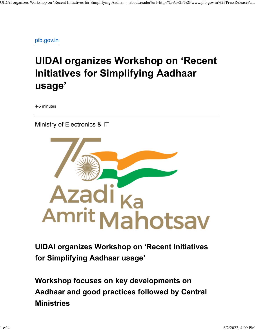[pib.gov.in](https://www.pib.gov.in/PressReleasePage.aspx?PRID=1819108)

## **UIDAI organizes Workshop on 'Recent Initiatives for Simplifying Aadhaar usage'**

4-5 minutes

Ministry of Electronics & IT



**UIDAI organizes Workshop on 'Recent Initiatives for Simplifying Aadhaar usage'**

**Workshop focuses on key developments on Aadhaar and good practices followed by Central Ministries**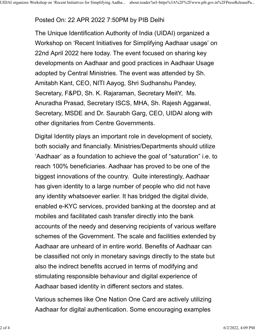## Posted On: 22 APR 2022 7:50PM by PIB Delhi

The Unique Identification Authority of India (UIDAI) organized a Workshop on 'Recent Initiatives for Simplifying Aadhaar usage' on 22nd April 2022 here today. The event focused on sharing key developments on Aadhaar and good practices in Aadhaar Usage adopted by Central Ministries. The event was attended by Sh. Amitabh Kant, CEO, NITI Aayog, Shri Sudhanshu Pandey, Secretary, F&PD, Sh. K. Rajaraman, Secretary MeitY, Ms. Anuradha Prasad, Secretary ISCS, MHA, Sh. Rajesh Aggarwal, Secretary, MSDE and Dr. Saurabh Garg, CEO, UIDAI along with other dignitaries from Centre Governments.

Digital Identity plays an important role in development of society, both socially and financially. Ministries/Departments should utilize 'Aadhaar' as a foundation to achieve the goal of "saturation" i.e. to reach 100% beneficiaries. Aadhaar has proved to be one of the biggest innovations of the country. Quite interestingly, Aadhaar has given identity to a large number of people who did not have any identity whatsoever earlier. It has bridged the digital divide, enabled e-KYC services, provided banking at the doorstep and at mobiles and facilitated cash transfer directly into the bank accounts of the needy and deserving recipients of various welfare schemes of the Government. The scale and facilities extended by Aadhaar are unheard of in entire world. Benefits of Aadhaar can be classified not only in monetary savings directly to the state but also the indirect benefits accrued in terms of modifying and stimulating responsible behaviour and digital experience of Aadhaar based identity in different sectors and states.

Various schemes like One Nation One Card are actively utilizing Aadhaar for digital authentication. Some encouraging examples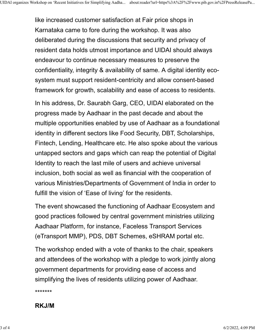like increased customer satisfaction at Fair price shops in Karnataka came to fore during the workshop. It was also deliberated during the discussions that security and privacy of resident data holds utmost importance and UIDAI should always endeavour to continue necessary measures to preserve the confidentiality, integrity & availability of same. A digital identity ecosystem must support resident-centricity and allow consent-based framework for growth, scalability and ease of access to residents.

In his address, Dr. Saurabh Garg, CEO, UIDAI elaborated on the progress made by Aadhaar in the past decade and about the multiple opportunities enabled by use of Aadhaar as a foundational identity in different sectors like Food Security, DBT, Scholarships, Fintech, Lending, Healthcare etc. He also spoke about the various untapped sectors and gaps which can reap the potential of Digital Identity to reach the last mile of users and achieve universal inclusion, both social as well as financial with the cooperation of various Ministries/Departments of Government of India in order to fulfill the vision of 'Ease of living' for the residents.

The event showcased the functioning of Aadhaar Ecosystem and good practices followed by central government ministries utilizing Aadhaar Platform, for instance, Faceless Transport Services (eTransport MMP), PDS, DBT Schemes, eSHRAM portal etc.

The workshop ended with a vote of thanks to the chair, speakers and attendees of the workshop with a pledge to work jointly along government departments for providing ease of access and simplifying the lives of residents utilizing power of Aadhaar.

\*\*\*\*\*\*\*

## **RKJ/M**